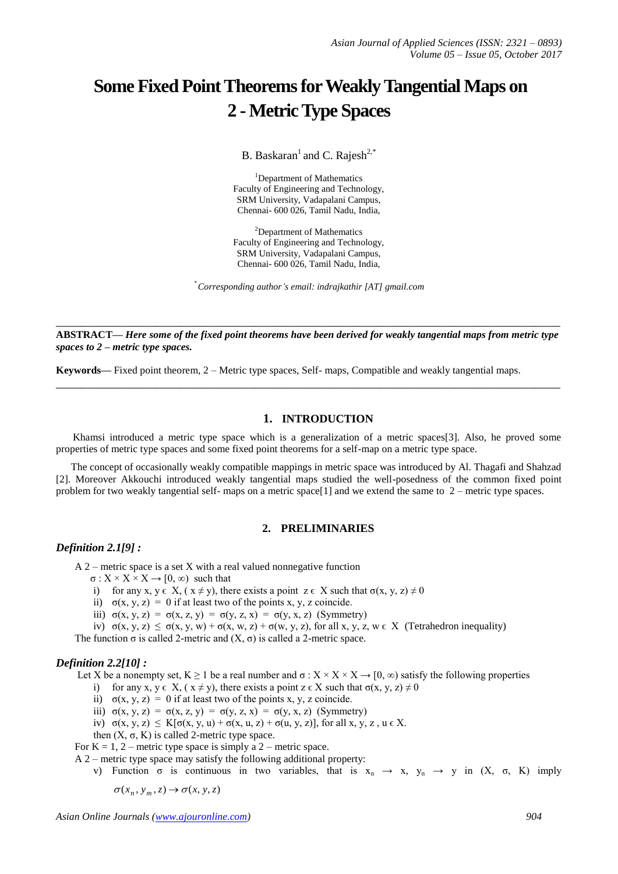# **Some Fixed Point Theorems for Weakly Tangential Maps on 2 - Metric Type Spaces**

B. Baskaran<sup>1</sup> and C. Rajesh<sup>2,\*</sup>

<sup>1</sup>Department of Mathematics Faculty of Engineering and Technology, SRM University, Vadapalani Campus, Chennai- 600 026, Tamil Nadu, India,

<sup>2</sup>Department of Mathematics Faculty of Engineering and Technology, SRM University, Vadapalani Campus, Chennai- 600 026, Tamil Nadu, India,

\* *Corresponding author's email: indrajkathir [AT] gmail.com*

**\_\_\_\_\_\_\_\_\_\_\_\_\_\_\_\_\_\_\_\_\_\_\_\_\_\_\_\_\_\_\_\_\_\_\_\_\_\_\_\_\_\_\_\_\_\_\_\_\_\_\_\_\_\_\_\_\_\_\_\_\_\_\_\_\_\_\_\_\_\_\_\_\_\_\_\_\_\_\_\_\_ ABSTRACT—** *Here some of the fixed point theorems have been derived for weakly tangential maps from metric type spaces to 2 – metric type spaces.*

**\_\_\_\_\_\_\_\_\_\_\_\_\_\_\_\_\_\_\_\_\_\_\_\_\_\_\_\_\_\_\_\_\_\_\_\_\_\_\_\_\_\_\_\_\_\_\_\_\_\_\_\_\_\_\_\_\_\_\_\_\_\_\_\_\_\_\_\_\_\_\_\_\_\_\_\_\_\_\_\_\_**

**Keywords—** Fixed point theorem, 2 – Metric type spaces, Self- maps, Compatible and weakly tangential maps.

# **1. INTRODUCTION**

Khamsi introduced a metric type space which is a generalization of a metric spaces[3]. Also, he proved some properties of metric type spaces and some fixed point theorems for a self-map on a metric type space.

The concept of occasionally weakly compatible mappings in metric space was introduced by Al. Thagafi and Shahzad [2]. Moreover Akkouchi introduced weakly tangential maps studied the well-posedness of the common fixed point problem for two weakly tangential self- maps on a metric space[1] and we extend the same to 2 – metric type spaces.

# **2. PRELIMINARIES**

# *Definition 2.1[9] :*

A 2 – metric space is a set X with a real valued nonnegative function

- $\sigma: X \times X \times X \rightarrow [0, \infty)$  such that
- i) for any x,  $y \in X$ ,  $(x \neq y)$ , there exists a point  $z \in X$  such that  $\sigma(x, y, z) \neq 0$
- ii)  $\sigma(x, y, z) = 0$  if at least two of the points x, y, z coincide.
- iii)  $\sigma(x, y, z) = \sigma(x, z, y) = \sigma(y, z, x) = \sigma(y, x, z)$  (Symmetry)

iv)  $\sigma(x, y, z) \leq \sigma(x, y, w) + \sigma(x, w, z) + \sigma(w, y, z)$ , for all  $x, y, z, w \in X$  (Tetrahedron inequality)

The function  $\sigma$  is called 2-metric and  $(X, \sigma)$  is called a 2-metric space.

# *Definition 2.2[10] :*

Let X be a nonempty set,  $K \ge 1$  be a real number and  $\sigma : X \times X \times X \to [0, \infty)$  satisfy the following properties

- i) for any x,  $y \in X$ ,  $(x \neq y)$ , there exists a point  $z \in X$  such that  $\sigma(x, y, z) \neq 0$
- ii)  $\sigma(x, y, z) = 0$  if at least two of the points x, y, z coincide.
- iii)  $\sigma(x, y, z) = \sigma(x, z, y) = \sigma(y, z, x) = \sigma(y, x, z)$  (Symmetry)
- iv)  $\sigma(x, y, z) \leq K[\sigma(x, y, u) + \sigma(x, u, z) + \sigma(u, y, z)]$ , for all x, y, z,  $u \in X$ .
- then  $(X, σ, K)$  is called 2-metric type space.

For  $K = 1, 2$  – metric type space is simply a 2 – metric space.

- A 2 metric type space may satisfy the following additional property:
	- v) Function  $\sigma$  is continuous in two variables, that is  $x_n \to x$ ,  $y_n \to y$  in  $(X, \sigma, K)$  imply

 $\sigma(x_n, y_m, z) \rightarrow \sigma(x, y, z)$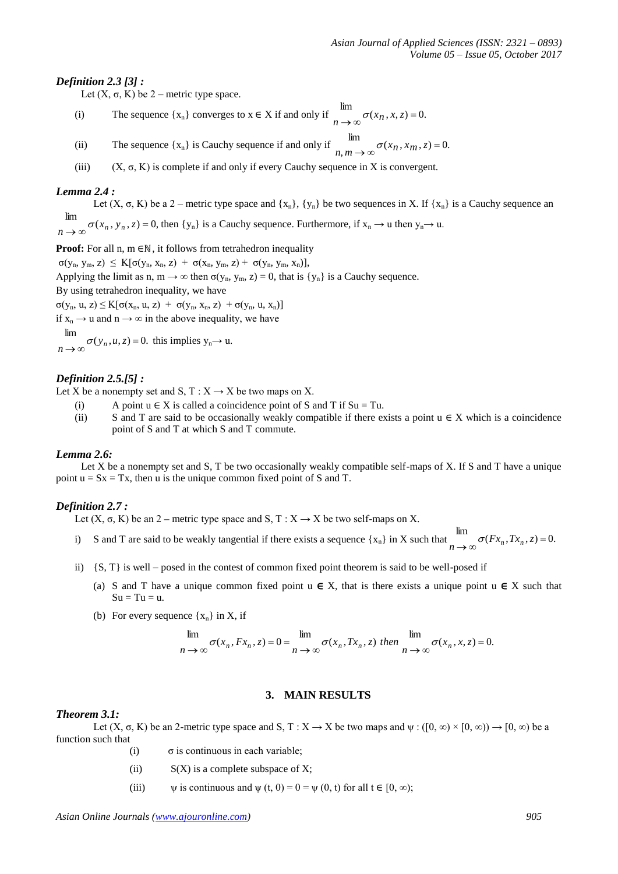# *Definition 2.3 [3] :*

Let  $(X, \sigma, K)$  be 2 – metric type space.

- (i) The sequence  $\{x_n\}$  converges to  $x \in X$  if and only if  $\lim_{n \to \infty} \sigma(x_n, x, z) = 0$ .
- (ii) The sequence  $\{x_n\}$  is Cauchy sequence if and only if  $n, m \to \infty$   $\sigma(x_n, x_m, z) = 0$ .  $\lim_{n,m \to \infty} \sigma(x_n, x_m, z) =$
- (iii)  $(X, \sigma, K)$  is complete if and only if every Cauchy sequence in X is convergent.

# *Lemma 2.4 :*

Let  $(X, \sigma, K)$  be a 2 – metric type space and  $\{x_n\}$ ,  $\{y_n\}$  be two sequences in X. If  $\{x_n\}$  is a Cauchy sequence an  $\sigma(x_n, y_n, z) = 0$ , then {y<sub>n</sub>} is a Cauchy sequence. Furthermore, if  $x_n \to u$  then  $y_n \to u$ . lim  $n \rightarrow \infty$ 

**Proof:** For all n, m ∈ℕ, it follows from tetrahedron inequality

 $\sigma(y_n, y_m, z) \leq K[\sigma(y_n, x_n, z) + \sigma(x_n, y_m, z) + \sigma(y_n, y_m, x_n)],$ 

Applying the limit as n,  $m \rightarrow \infty$  then  $\sigma(y_n, y_m, z) = 0$ , that is  $\{y_n\}$  is a Cauchy sequence.

By using tetrahedron inequality, we have

 $\sigma(y_n, u, z) \leq K[\sigma(x_n, u, z) + \sigma(y_n, x_n, z) + \sigma(y_n, u, x_n)]$ 

if  $x_n \rightarrow u$  and  $n \rightarrow \infty$  in the above inequality, we have

$$
\lim
$$

 $\lim_{n \to \infty} \sigma(y_n, u, z) = 0$ . this implies  $y_n \to u$ .

# *Definition 2.5.[5] :*

Let X be a nonempty set and S,  $T : X \rightarrow X$  be two maps on X.

- (i) A point  $u \in X$  is called a coincidence point of S and T if  $Su = Tu$ .
- (ii) S and T are said to be occasionally weakly compatible if there exists a point  $u \in X$  which is a coincidence point of S and T at which S and T commute.

# *Lemma 2.6:*

Let X be a nonempty set and S, T be two occasionally weakly compatible self-maps of X. If S and T have a unique point  $u = Sx = Tx$ , then u is the unique common fixed point of S and T.

# *Definition 2.7 :*

Let  $(X, \sigma, K)$  be an 2 – metric type space and S,  $T : X \rightarrow X$  be two self-maps on X.

- i) S and T are said to be weakly tangential if there exists a sequence  $\{x_n\}$  in X such that  $\lim_{n \to \infty} \sigma(Fx_n, Tx_n, z) = 0$ .
- ii) {S, T} is well posed in the contest of common fixed point theorem is said to be well-posed if
	- (a) S and T have a unique common fixed point  $u \in X$ , that is there exists a unique point  $u \in X$  such that  $Su = Tu = u.$
	- (b) For every sequence  $\{x_n\}$  in X, if

$$
\lim_{n \to \infty} \sigma(x_n, Fx_n, z) = 0 = \lim_{n \to \infty} \sigma(x_n, Tx_n, z) \text{ then } \lim_{n \to \infty} \sigma(x_n, x, z) = 0.
$$

# **3. MAIN RESULTS**

#### *Theorem 3.1:*

Let  $(X, \sigma, K)$  be an 2-metric type space and S,  $T : X \to X$  be two maps and  $\psi : (0, \infty) \times [0, \infty) \to [0, \infty)$  be a function such that

- (i)  $\sigma$  is continuous in each variable;
- (ii)  $S(X)$  is a complete subspace of X;
- (iii)  $\psi$  is continuous and  $\psi$  (t, 0) = 0 =  $\psi$  (0, t) for all t  $\in$  [0,  $\infty$ );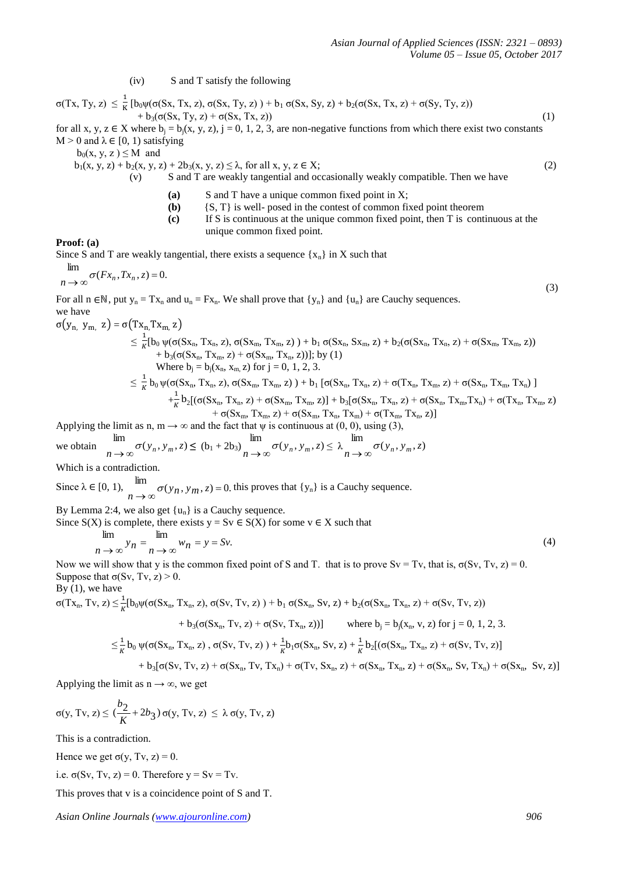(iv) S and T satisfy the following

σ(Tx, Ty, z)  $\leq \frac{1}{\kappa}$  $\frac{1}{K}$ [b<sub>0</sub>ψ(σ(Sx, Tx, z), σ(Sx, Ty, z)) + b<sub>1</sub> σ(Sx, Sy, z) + b<sub>2</sub>(σ(Sx, Tx, z) + σ(Sy, Ty, z))  $+ b_3(\sigma(Sx, Ty, z) + \sigma(Sx, Tx, z))$  (1)

for all x, y, z  $\in$  X where  $b_j = b_j(x, y, z)$ , j = 0, 1, 2, 3, are non-negative functions from which there exist two constants  $M > 0$  and  $\lambda \in [0, 1)$  satisfying

 $b_0(x, y, z) \leq M$  and

 $b_1(x, y, z) + b_2(x, y, z) + 2b_3(x, y, z) \le \lambda$ , for all  $x, y, z \in X$ ; (2)

(v) S and T are weakly tangential and occasionally weakly compatible. Then we have

- **(a)** S and T have a unique common fixed point in X;
- **(b)** {S, T} is well- posed in the contest of common fixed point theorem
- **(c)** If S is continuous at the unique common fixed point, then T is continuous at the unique common fixed point.

**Proof: (a)**

Since S and T are weakly tangential, there exists a sequence  $\{x_n\}$  in X such that

$$
\lim_{n \to \infty} \sigma(Fx_n, Tx_n, z) = 0.
$$

For all n ∈N, put  $y_n = Tx_n$  and  $u_n = Fx_n$ . We shall prove that  $\{y_n\}$  and  $\{u_n\}$  are Cauchy sequences. we have  $\overline{a}$ 

$$
\begin{aligned}\sigma(y_{n,} \; y_{m,} \; z) & = \sigma(Tx_{n,}Tx_{m},z) \\ & \leq \frac{1}{K}[b_{0}\,\psi(\sigma(Sx_{n},\,Tx_{n},\,z),\,\sigma(Sx_{m},\,Tx_{m},\,z)\,)\,+\,b_{1}\,\sigma(Sx_{n},\,Sx_{m},\,z)\,+\,b_{2}(\sigma(Sx_{n},\,Tx_{n},\,z)\,+\,\sigma(Sx_{m},\,Tx_{m},\,z))\\ & \quad +\,b_{3}(\sigma(Sx_{n},\,Tx_{m},\,z)\,+\,\sigma(Sx_{m},\,Tx_{n},\,z))];\,by\,(1) \\ & \text{Where } b_{j}=b_{j}(x_{n},\,x_{m},\,z)\,\, \text{for}\,\,j=0,\,1,\,2,\,3.\\ & \leq \frac{1}{K}\,b_{0}\,\psi(\sigma(Sx_{n},\,Tx_{n},\,z),\,\sigma(Sx_{m},\,Tx_{m},\,z)\,)\,+\,b_{1}\,[\sigma(Sx_{n},\,Tx_{n},\,z)\,+\,\sigma(Tx_{n},\,Tx_{m},\,z)\,+\,\sigma(Sx_{n},\,Tx_{m},\,Tx_{n})\,+\,\sigma(Tx_{n},\,Tx_{n},\,Tx_{n})\,+\,\sigma(Tx_{n},\,Tx_{n},\,Z)\,+\,\sigma(Sx_{m},\,Tx_{m},\,Z)\,+\,\sigma(Sx_{m},\,Tx_{n},\,Tx_{m},\,Tx_{m})\,+\,\sigma(Tx_{m},\,Tx_{n},\,Z)]\end{aligned}
$$

Applying the limit as n, m  $\rightarrow \infty$  and the fact that  $\psi$  is continuous at (0, 0), using (3),

we obtain 
$$
\lim_{n \to \infty} \sigma(y_n, y_m, z) \le (b_1 + 2b_3) \lim_{n \to \infty} \sigma(y_n, y_m, z) \le \lambda \lim_{n \to \infty} \sigma(y_n, y_m, z)
$$

Which is a contradiction.

Since  $\lambda \in [0, 1)$ ,  $\lim_{n \to \infty} \sigma(y_n, y_m, z) = 0$  this proves that  $\{y_n\}$  is a Cauchy sequence.

By Lemma 2:4, we also get  $\{u_n\}$  is a Cauchy sequence.

Since  $S(X)$  is complete, there exists  $y = Sv \in S(X)$  for some  $v \in X$  such that

$$
\lim_{n \to \infty} y_n = \lim_{n \to \infty} w_n = y = Sv.
$$
\n(4)

Now we will show that y is the common fixed point of S and T. that is to prove  $Sv = Tv$ , that is,  $\sigma(Sv, Tv, z) = 0$ . Suppose that  $\sigma(Sv, Tv, z) > 0$ .

By  $(1)$ , we have

 $\sigma(Tx_n, Tv, z) \leq \frac{1}{K} [b_0 \psi(\sigma(Sx_n, Tx_n, z), \sigma(Sv, Tv, z)) + b_1 \sigma(Sx_n, Sv, z) + b_2(\sigma(Sx_n, Tx_n, z) + \sigma(Sv, Tv, z))$ 

$$
+ b_3(\sigma(Sx_n, Tv, z) + \sigma(Sv, Tx_n, z))
$$
 where  $b_j = b_j(x_n, v, z)$  for  $j = 0, 1, 2, 3$ .

$$
\leq \frac{1}{\kappa} b_0 \, \psi(\sigma(Sx_n,\,Tx_n,\,z)\;,\,\sigma(Sv,\,Tv,\,z)\;)+\frac{1}{\kappa} b_1 \sigma(Sx_n,\,Sv,\,z)\,+\frac{1}{\kappa} b_2 [(\sigma(Sx_n,\,Tx_n,\,z)\,+\,\sigma(Sv,\,Tv,\,z)\,]\,.
$$

$$
+\ b_3[\sigma(Sv,\,Tv,\,z)+\sigma(Sx_n,\,Tv,\,Tx_n)+\sigma(Tv,\,Sx_n,\,z)+\sigma(Sx_n,\,Tx_n,\,z)+\sigma(Sx_n,\,Sv,\,Tx_n)+\sigma(Sx_n,\,Sv,\,z)]
$$

Applying the limit as  $n \rightarrow \infty$ , we get

$$
\sigma(y,\,Tv,\,z)\leq (\frac{b_2}{K}+2b_3)\,\sigma(y,\,Tv,\,z)\,\leq\,\lambda\,\sigma(y,\,Tv,\,z)
$$

This is a contradiction.

Hence we get  $\sigma(y, Tv, z) = 0$ .

i.e.  $\sigma(Sv, Tv, z) = 0$ . Therefore  $y = Sv = Tv$ .

This proves that v is a coincidence point of S and T.

*Asian Online Journals [\(www.ajouronline.com\)](http://www.ajouronline.com/) 906*

(3)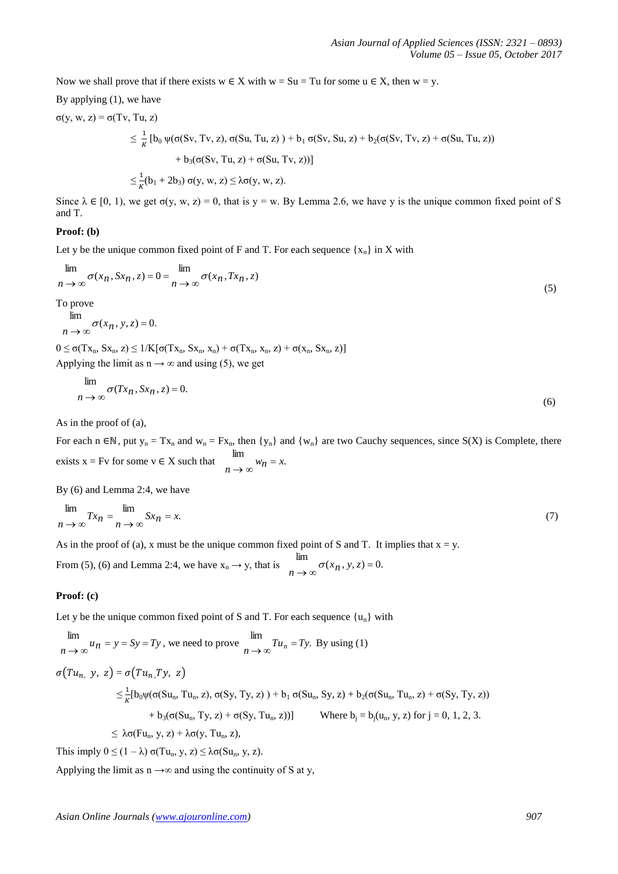Now we shall prove that if there exists  $w \in X$  with  $w = Su = Tu$  for some  $u \in X$ , then  $w = y$ .

By applying 
$$
(1)
$$
, we have

$$
\sigma(y, w, z) = \sigma(Tv, Tu, z)
$$
  
\n
$$
\leq \frac{1}{\kappa} [b_0 \psi(\sigma(Sv, Tv, z), \sigma(Su, Tu, z)) + b_1 \sigma(Sv, Su, z) + b_2(\sigma(Sv, Tv, z) + \sigma(Su, Tu, z))
$$
  
\n
$$
+ b_3(\sigma(Sv, Tu, z) + \sigma(Su, Tv, z))]
$$
  
\n
$$
\leq \frac{1}{\kappa} (b_1 + 2b_3) \sigma(y, w, z) \leq \lambda \sigma(y, w, z).
$$

Since  $\lambda \in [0, 1)$ , we get  $\sigma(y, w, z) = 0$ , that is  $y = w$ . By Lemma 2.6, we have y is the unique common fixed point of S and T.

# **Proof: (b)**

Let y be the unique common fixed point of F and T. For each sequence  $\{x_n\}$  in X with

$$
\lim_{n \to \infty} \sigma(x_n, Sx_n, z) = 0 = \lim_{n \to \infty} \sigma(x_n, Tx_n, z)
$$
\n(5)

To prove

$$
\lim_{n \to \infty} \sigma(x_n, y, z) = 0.
$$

 $0 \leq \sigma(Tx_n, Sx_n, z) \leq 1/K[\sigma(Tx_n, Sx_n, x_n) + \sigma(Tx_n, x_n, z) + \sigma(x_n, Sx_n, z)]$ Applying the limit as  $n \rightarrow \infty$  and using (5), we get

$$
\lim_{n \to \infty} \sigma(Tx_n, Sx_n, z) = 0. \tag{6}
$$

As in the proof of (a),

For each n  $\in \mathbb{N}$ , put  $y_n = Tx_n$  and  $w_n = Fx_n$ , then  $\{y_n\}$  and  $\{w_n\}$  are two Cauchy sequences, since  $S(X)$  is Complete, there exists  $x = Fv$  for some  $v \in X$  such that  $\lim_{n \to \infty} w_n = x$ .

By (6) and Lemma 2:4, we have

$$
\lim_{n \to \infty} Tx_n = \lim_{n \to \infty} Sx_n = x. \tag{7}
$$

lim

As in the proof of (a), x must be the unique common fixed point of S and T. It implies that  $x = y$ .

lim

From (5), (6) and Lemma 2:4, we have 
$$
x_n \to y
$$
, that is  $\lim_{n \to \infty} \sigma(x_n, y, z) = 0$ .

# **Proof: (c)**

Let y be the unique common fixed point of S and T. For each sequence  $\{u_n\}$  with

$$
\lim_{n \to \infty} u_n = y = Sy = Ty, \text{ we need to prove } \lim_{n \to \infty} Tu_n = Ty. \text{ By using (1)}
$$
\n
$$
\sigma(Tu_{n, y}, z) = \sigma(Tu_{n, T}y, z)
$$
\n
$$
\leq \frac{1}{K} [b_0 \psi(\sigma(Su_n, Tu_n, z), \sigma(Sy, Ty, z)) + b_1 \sigma(Su_n, Sy, z) + b_2(\sigma(Su_n, Tu_n, z) + \sigma(Sy, Ty, z))
$$
\n
$$
+ b_3(\sigma(Su_n, Ty, z) + \sigma(Sy, Tu_n, z))]
$$
\nWhere  $b_j = b_j(u_n, y, z)$  for  $j = 0, 1, 2, 3$ .  
\n
$$
\leq \lambda \sigma(Fu_n, y, z) + \lambda \sigma(y, Tu_n, z),
$$

This imply  $0 \le (1 - \lambda) \sigma(Tu_n, y, z) \le \lambda \sigma(Su_n, y, z)$ .

Applying the limit as  $n \rightarrow \infty$  and using the continuity of S at y,